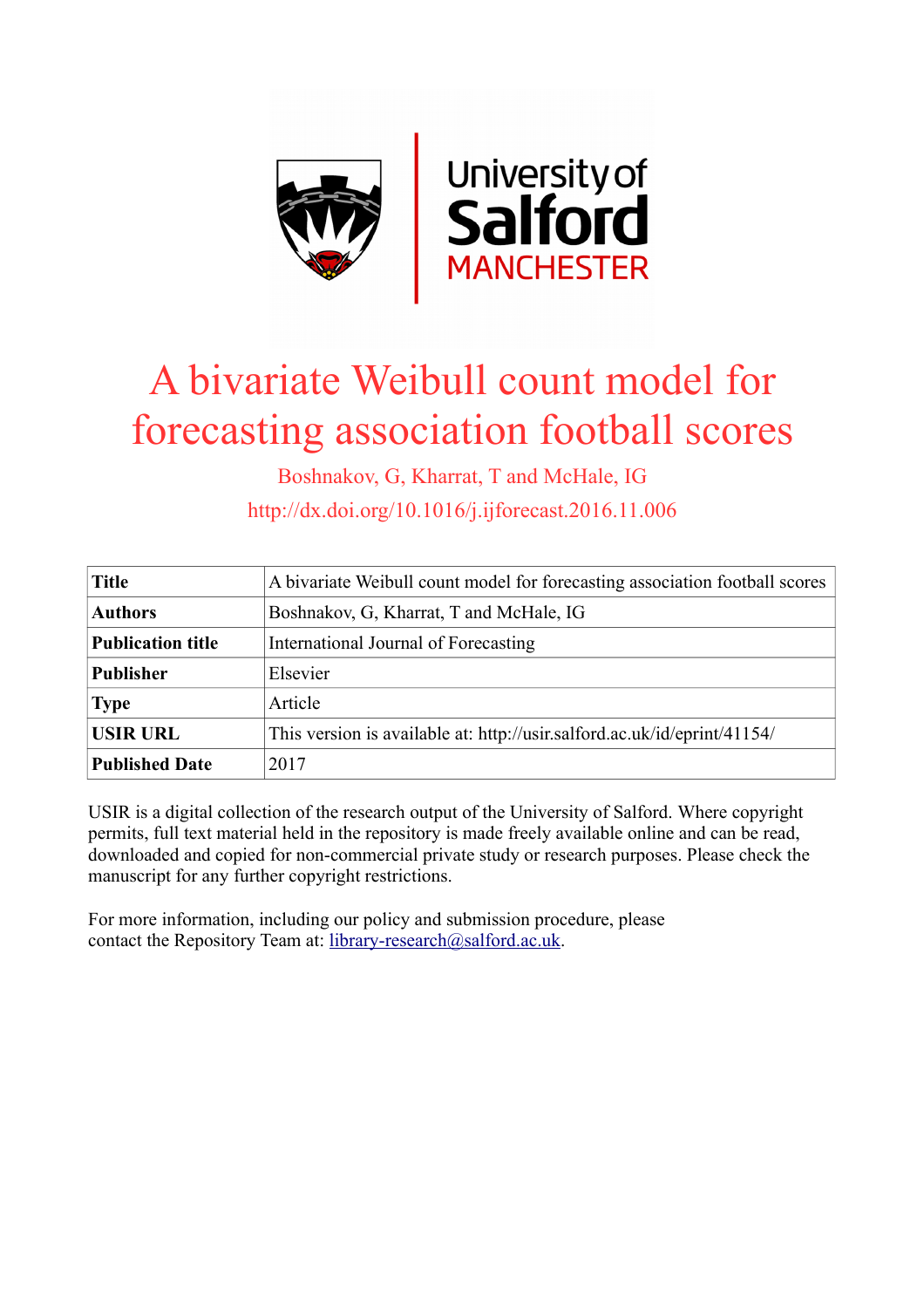

# A bivariate Weibull count model for forecasting association football scores

Boshnakov, G, Kharrat, T and McHale, IG http://dx.doi.org/10.1016/j.ijforecast.2016.11.006

| <b>Title</b>             | A bivariate Weibull count model for forecasting association football scores |
|--------------------------|-----------------------------------------------------------------------------|
| <b>Authors</b>           | Boshnakov, G, Kharrat, T and McHale, IG                                     |
| <b>Publication title</b> | International Journal of Forecasting                                        |
| <b>Publisher</b>         | Elsevier                                                                    |
| <b>Type</b>              | Article                                                                     |
| <b>USIR URL</b>          | This version is available at: http://usir.salford.ac.uk/id/eprint/41154/    |
| <b>Published Date</b>    | 2017                                                                        |

USIR is a digital collection of the research output of the University of Salford. Where copyright permits, full text material held in the repository is made freely available online and can be read, downloaded and copied for non-commercial private study or research purposes. Please check the manuscript for any further copyright restrictions.

For more information, including our policy and submission procedure, please contact the Repository Team at: [library-research@salford.ac.uk.](mailto:library-research@salford.ac.uk)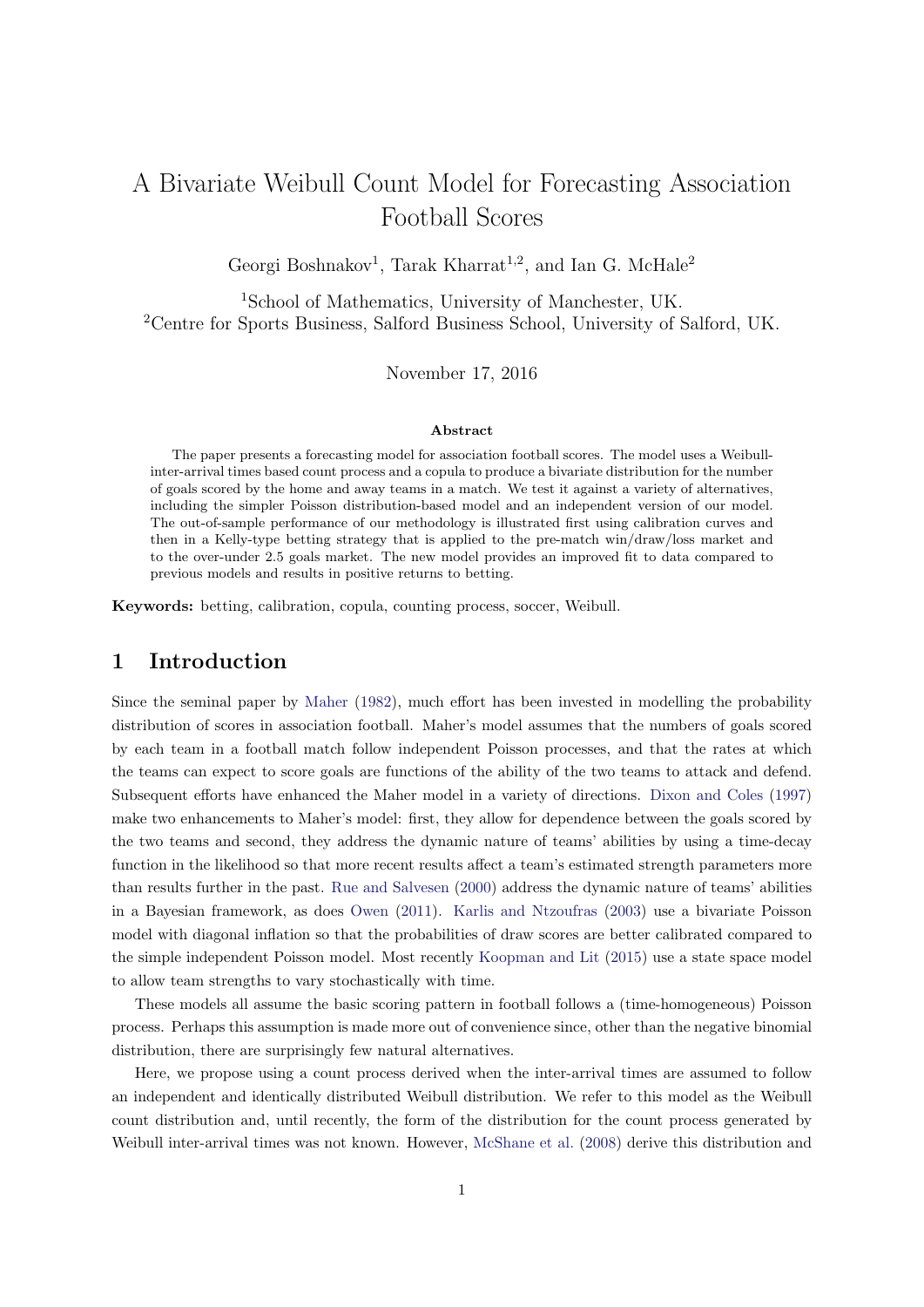## A Bivariate Weibull Count Model for Forecasting Association Football Scores

Georgi Boshnakov<sup>1</sup>, Tarak Kharrat<sup>1,2</sup>, and Ian G. McHale<sup>2</sup>

<sup>1</sup>School of Mathematics, University of Manchester, UK. <sup>2</sup>Centre for Sports Business, Salford Business School, University of Salford, UK.

November 17, 2016

#### Abstract

The paper presents a forecasting model for association football scores. The model uses a Weibullinter-arrival times based count process and a copula to produce a bivariate distribution for the number of goals scored by the home and away teams in a match. We test it against a variety of alternatives, including the simpler Poisson distribution-based model and an independent version of our model. The out-of-sample performance of our methodology is illustrated first using calibration curves and then in a Kelly-type betting strategy that is applied to the pre-match win/draw/loss market and to the over-under 2.5 goals market. The new model provides an improved fit to data compared to previous models and results in positive returns to betting.

Keywords: betting, calibration, copula, counting process, soccer, Weibull.

## 1 Introduction

Since the seminal paper by [Maher](#page-14-0) [\(1982\)](#page-14-0), much effort has been invested in modelling the probability distribution of scores in association football. Maher's model assumes that the numbers of goals scored by each team in a football match follow independent Poisson processes, and that the rates at which the teams can expect to score goals are functions of the ability of the two teams to attack and defend. Subsequent efforts have enhanced the Maher model in a variety of directions. [Dixon and Coles](#page-13-0) [\(1997\)](#page-13-0) make two enhancements to Maher's model: first, they allow for dependence between the goals scored by the two teams and second, they address the dynamic nature of teams' abilities by using a time-decay function in the likelihood so that more recent results affect a team's estimated strength parameters more than results further in the past. [Rue and Salvesen](#page-14-1) [\(2000\)](#page-14-1) address the dynamic nature of teams' abilities in a Bayesian framework, as does [Owen](#page-14-2) [\(2011\)](#page-14-2). [Karlis and Ntzoufras](#page-13-1) [\(2003\)](#page-13-1) use a bivariate Poisson model with diagonal inflation so that the probabilities of draw scores are better calibrated compared to the simple independent Poisson model. Most recently [Koopman and Lit](#page-13-2) [\(2015\)](#page-13-2) use a state space model to allow team strengths to vary stochastically with time.

These models all assume the basic scoring pattern in football follows a (time-homogeneous) Poisson process. Perhaps this assumption is made more out of convenience since, other than the negative binomial distribution, there are surprisingly few natural alternatives.

Here, we propose using a count process derived when the inter-arrival times are assumed to follow an independent and identically distributed Weibull distribution. We refer to this model as the Weibull count distribution and, until recently, the form of the distribution for the count process generated by Weibull inter-arrival times was not known. However, [McShane et al.](#page-14-3) [\(2008\)](#page-14-3) derive this distribution and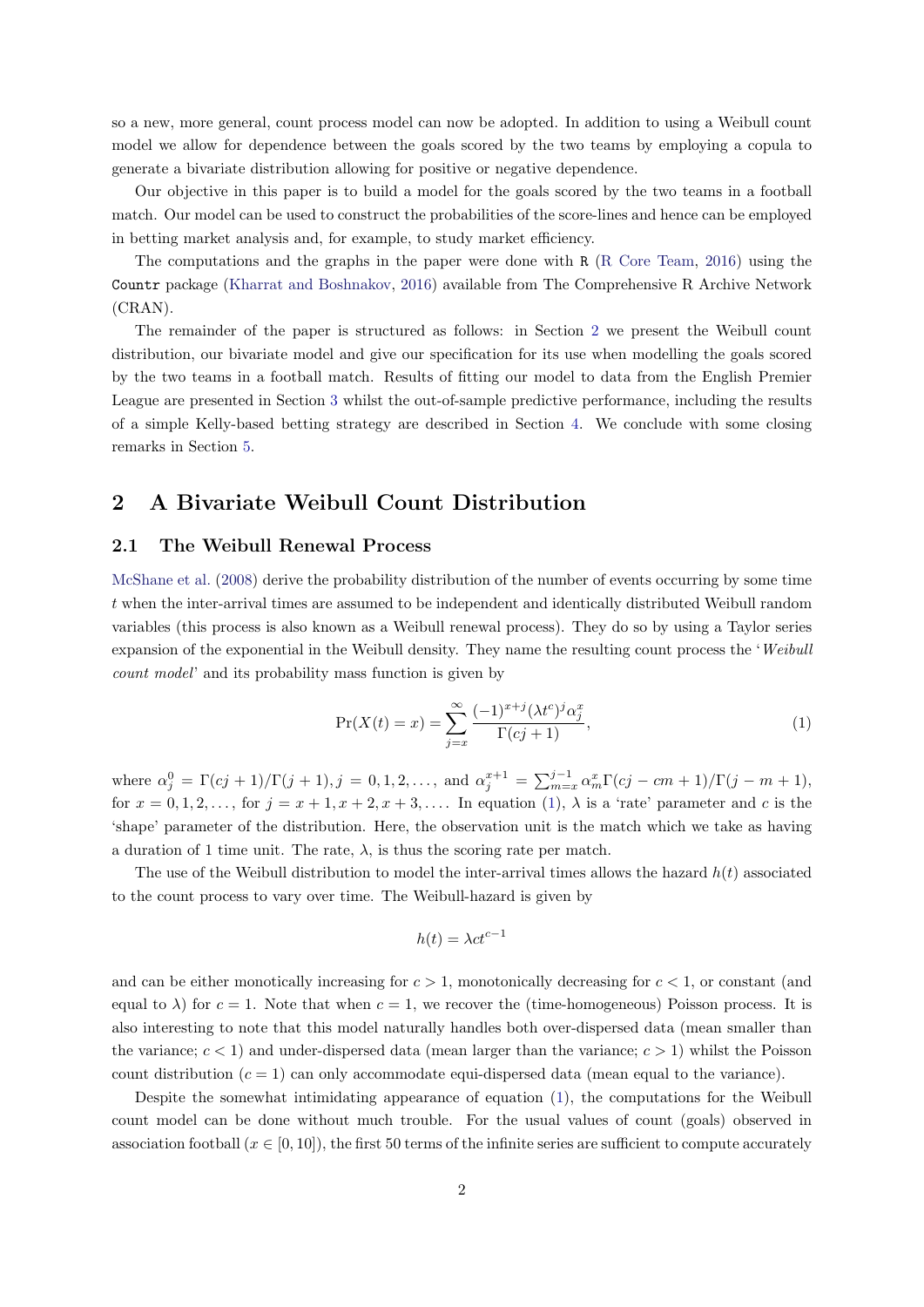so a new, more general, count process model can now be adopted. In addition to using a Weibull count model we allow for dependence between the goals scored by the two teams by employing a copula to generate a bivariate distribution allowing for positive or negative dependence.

Our objective in this paper is to build a model for the goals scored by the two teams in a football match. Our model can be used to construct the probabilities of the score-lines and hence can be employed in betting market analysis and, for example, to study market efficiency.

The computations and the graphs in the paper were done with R [\(R Core Team,](#page-14-4) [2016\)](#page-14-4) using the Countr package [\(Kharrat and Boshnakov,](#page-13-3) [2016\)](#page-13-3) available from The Comprehensive R Archive Network (CRAN).

The remainder of the paper is structured as follows: in Section [2](#page-2-0) we present the Weibull count distribution, our bivariate model and give our specification for its use when modelling the goals scored by the two teams in a football match. Results of fitting our model to data from the English Premier League are presented in Section [3](#page-6-0) whilst the out-of-sample predictive performance, including the results of a simple Kelly-based betting strategy are described in Section [4.](#page-8-0) We conclude with some closing remarks in Section [5.](#page-12-0)

## <span id="page-2-0"></span>2 A Bivariate Weibull Count Distribution

#### 2.1 The Weibull Renewal Process

[McShane et al.](#page-14-3) [\(2008\)](#page-14-3) derive the probability distribution of the number of events occurring by some time t when the inter-arrival times are assumed to be independent and identically distributed Weibull random variables (this process is also known as a Weibull renewal process). They do so by using a Taylor series expansion of the exponential in the Weibull density. They name the resulting count process the 'Weibull count model' and its probability mass function is given by

<span id="page-2-1"></span>
$$
\Pr(X(t) = x) = \sum_{j=x}^{\infty} \frac{(-1)^{x+j} (\lambda t^c)^j \alpha_j^x}{\Gamma(cj+1)},\tag{1}
$$

where  $\alpha_j^0 = \Gamma(cj+1)/\Gamma(j+1), j = 0, 1, 2, \ldots$ , and  $\alpha_j^{x+1} = \sum_{m=x}^{j-1} \alpha_m^x \Gamma(cj - cm + 1)/\Gamma(j - m + 1)$ , for  $x = 0, 1, 2, \ldots$ , for  $j = x + 1, x + 2, x + 3, \ldots$  In equation [\(1\)](#page-2-1),  $\lambda$  is a 'rate' parameter and c is the 'shape' parameter of the distribution. Here, the observation unit is the match which we take as having a duration of 1 time unit. The rate,  $\lambda$ , is thus the scoring rate per match.

The use of the Weibull distribution to model the inter-arrival times allows the hazard  $h(t)$  associated to the count process to vary over time. The Weibull-hazard is given by

$$
h(t) = \lambda ct^{c-1}
$$

and can be either monotically increasing for  $c > 1$ , monotonically decreasing for  $c < 1$ , or constant (and equal to  $\lambda$ ) for  $c = 1$ . Note that when  $c = 1$ , we recover the (time-homogeneous) Poisson process. It is also interesting to note that this model naturally handles both over-dispersed data (mean smaller than the variance;  $c < 1$ ) and under-dispersed data (mean larger than the variance;  $c > 1$ ) whilst the Poisson count distribution  $(c = 1)$  can only accommodate equi-dispersed data (mean equal to the variance).

Despite the somewhat intimidating appearance of equation [\(1\)](#page-2-1), the computations for the Weibull count model can be done without much trouble. For the usual values of count (goals) observed in association football  $(x \in [0, 10])$ , the first 50 terms of the infinite series are sufficient to compute accurately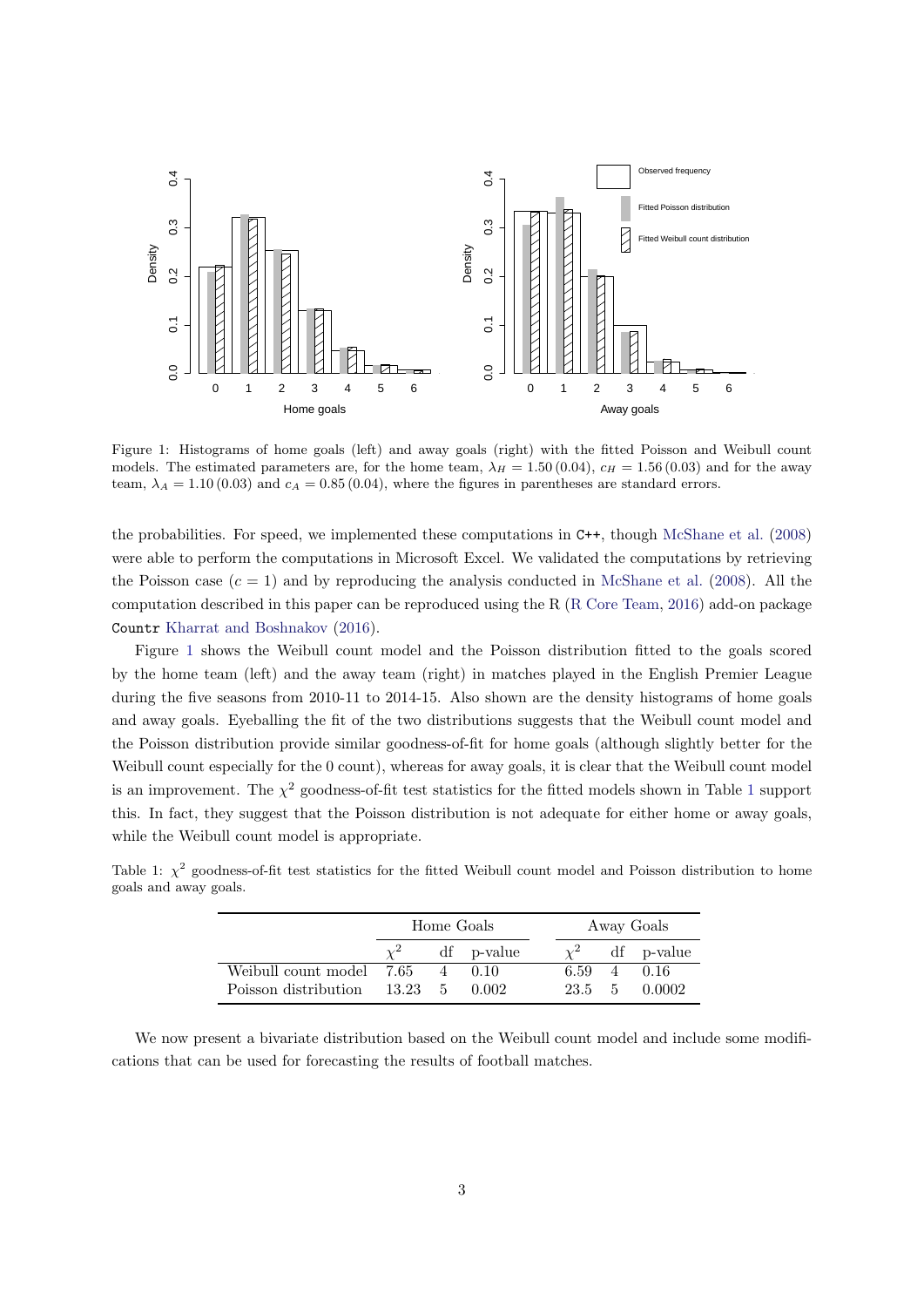<span id="page-3-0"></span>

Figure 1: Histograms of home goals (left) and away goals (right) with the fitted Poisson and Weibull count models. The estimated parameters are, for the home team,  $\lambda_H = 1.50 (0.04)$ ,  $c_H = 1.56 (0.03)$  and for the away team,  $\lambda_A = 1.10 (0.03)$  and  $c_A = 0.85 (0.04)$ , where the figures in parentheses are standard errors.

the probabilities. For speed, we implemented these computations in C++, though [McShane et al.](#page-14-3) [\(2008\)](#page-14-3) were able to perform the computations in Microsoft Excel. We validated the computations by retrieving the Poisson case  $(c = 1)$  and by reproducing the analysis conducted in [McShane et al.](#page-14-3) [\(2008\)](#page-14-3). All the computation described in this paper can be reproduced using the R [\(R Core Team,](#page-14-4) [2016\)](#page-14-4) add-on package Countr [Kharrat and Boshnakov](#page-13-3) [\(2016\)](#page-13-3).

Figure [1](#page-3-0) shows the Weibull count model and the Poisson distribution fitted to the goals scored by the home team (left) and the away team (right) in matches played in the English Premier League during the five seasons from 2010-11 to 2014-15. Also shown are the density histograms of home goals and away goals. Eyeballing the fit of the two distributions suggests that the Weibull count model and the Poisson distribution provide similar goodness-of-fit for home goals (although slightly better for the Weibull count especially for the 0 count), whereas for away goals, it is clear that the Weibull count model is an improvement. The  $\chi^2$  goodness-of-fit test statistics for the fitted models shown in Table [1](#page-3-1) support this. In fact, they suggest that the Poisson distribution is not adequate for either home or away goals, while the Weibull count model is appropriate.

|                              | Home Goals |  |            |        |                | Away Goals |
|------------------------------|------------|--|------------|--------|----------------|------------|
|                              |            |  | df p-value |        |                | df p-value |
| Weibull count model 7.65     |            |  | 4 0.10     | 6.59   | $\overline{4}$ | 0.16       |
| Poisson distribution 13.23 5 |            |  | 0.002      | 23.5 5 |                | 0.0002     |

<span id="page-3-1"></span>Table 1:  $\chi^2$  goodness-of-fit test statistics for the fitted Weibull count model and Poisson distribution to home goals and away goals.

We now present a bivariate distribution based on the Weibull count model and include some modifications that can be used for forecasting the results of football matches.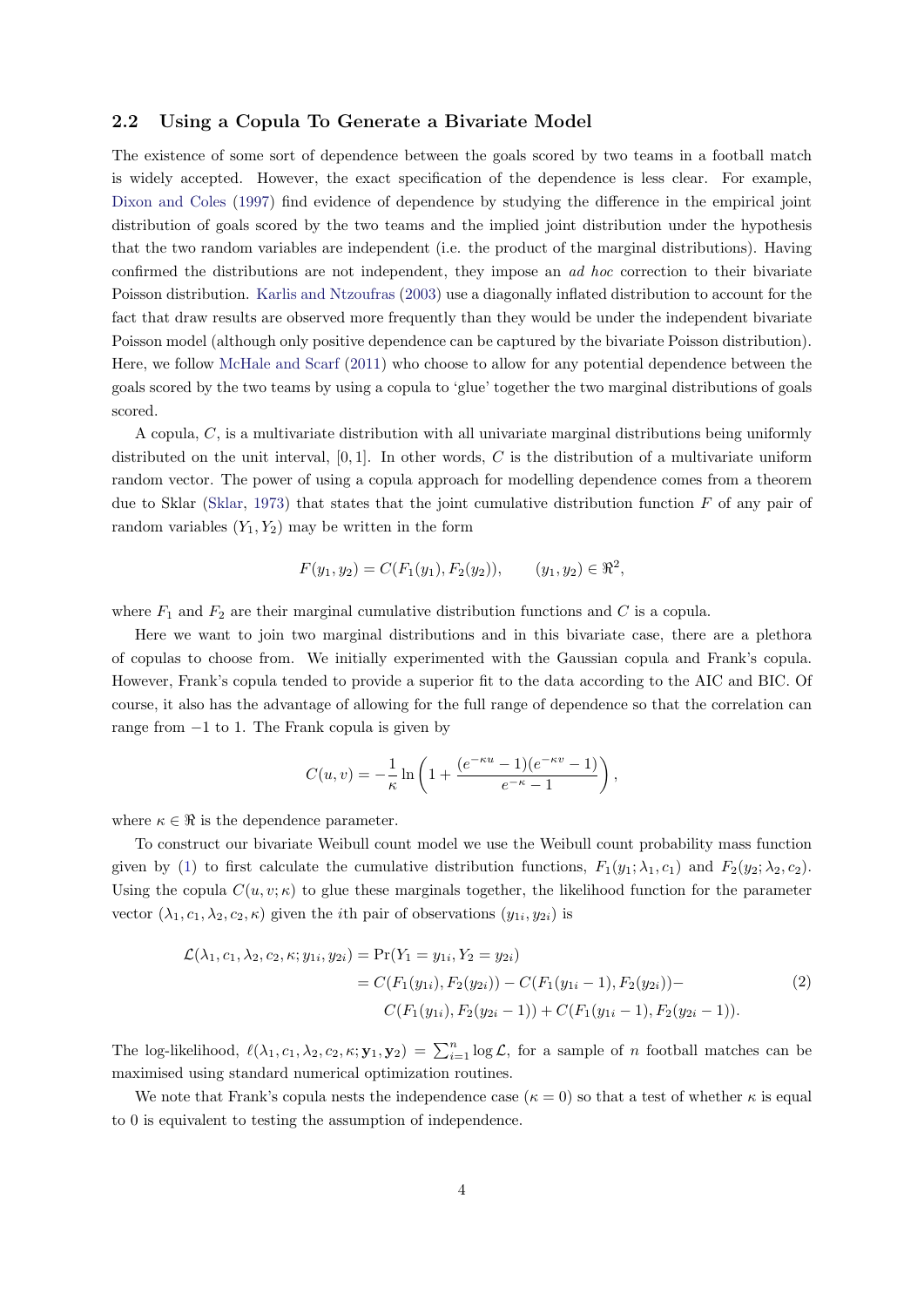#### 2.2 Using a Copula To Generate a Bivariate Model

The existence of some sort of dependence between the goals scored by two teams in a football match is widely accepted. However, the exact specification of the dependence is less clear. For example, [Dixon and Coles](#page-13-0) [\(1997\)](#page-13-0) find evidence of dependence by studying the difference in the empirical joint distribution of goals scored by the two teams and the implied joint distribution under the hypothesis that the two random variables are independent (i.e. the product of the marginal distributions). Having confirmed the distributions are not independent, they impose an ad hoc correction to their bivariate Poisson distribution. [Karlis and Ntzoufras](#page-13-1) [\(2003\)](#page-13-1) use a diagonally inflated distribution to account for the fact that draw results are observed more frequently than they would be under the independent bivariate Poisson model (although only positive dependence can be captured by the bivariate Poisson distribution). Here, we follow [McHale and Scarf](#page-14-5) [\(2011\)](#page-14-5) who choose to allow for any potential dependence between the goals scored by the two teams by using a copula to 'glue' together the two marginal distributions of goals scored.

A copula, C, is a multivariate distribution with all univariate marginal distributions being uniformly distributed on the unit interval,  $[0, 1]$ . In other words, C is the distribution of a multivariate uniform random vector. The power of using a copula approach for modelling dependence comes from a theorem due to Sklar [\(Sklar,](#page-14-6) [1973\)](#page-14-6) that states that the joint cumulative distribution function  $F$  of any pair of random variables  $(Y_1, Y_2)$  may be written in the form

$$
F(y_1, y_2) = C(F_1(y_1), F_2(y_2)), \qquad (y_1, y_2) \in \mathbb{R}^2,
$$

where  $F_1$  and  $F_2$  are their marginal cumulative distribution functions and C is a copula.

Here we want to join two marginal distributions and in this bivariate case, there are a plethora of copulas to choose from. We initially experimented with the Gaussian copula and Frank's copula. However, Frank's copula tended to provide a superior fit to the data according to the AIC and BIC. Of course, it also has the advantage of allowing for the full range of dependence so that the correlation can range from −1 to 1. The Frank copula is given by

$$
C(u, v) = -\frac{1}{\kappa} \ln \left( 1 + \frac{(e^{-\kappa u} - 1)(e^{-\kappa v} - 1)}{e^{-\kappa} - 1} \right),
$$

where  $\kappa \in \Re$  is the dependence parameter.

To construct our bivariate Weibull count model we use the Weibull count probability mass function given by [\(1\)](#page-2-1) to first calculate the cumulative distribution functions,  $F_1(y_1; \lambda_1, c_1)$  and  $F_2(y_2; \lambda_2, c_2)$ . Using the copula  $C(u, v; \kappa)$  to glue these marginals together, the likelihood function for the parameter vector  $(\lambda_1, c_1, \lambda_2, c_2, \kappa)$  given the *i*th pair of observations  $(y_{1i}, y_{2i})$  is

<span id="page-4-0"></span>
$$
\mathcal{L}(\lambda_1, c_1, \lambda_2, c_2, \kappa; y_{1i}, y_{2i}) = \Pr(Y_1 = y_{1i}, Y_2 = y_{2i})
$$
  
=  $C(F_1(y_{1i}), F_2(y_{2i})) - C(F_1(y_{1i} - 1), F_2(y_{2i})) - C(F_1(y_{1i}, F_2(y_{2i} - 1)) - C(F_1(y_{1i}), F_2(y_{2i} - 1)) - C(F_1(y_{1i}, F_2(y_{2i} - 1)) - F_2(y_{2i} - 1)).$  (2)

The log-likelihood,  $\ell(\lambda_1, c_1, \lambda_2, c_2, \kappa; \mathbf{y}_1, \mathbf{y}_2) = \sum_{i=1}^n \log \mathcal{L}$ , for a sample of *n* football matches can be maximised using standard numerical optimization routines.

We note that Frank's copula nests the independence case ( $\kappa = 0$ ) so that a test of whether  $\kappa$  is equal to 0 is equivalent to testing the assumption of independence.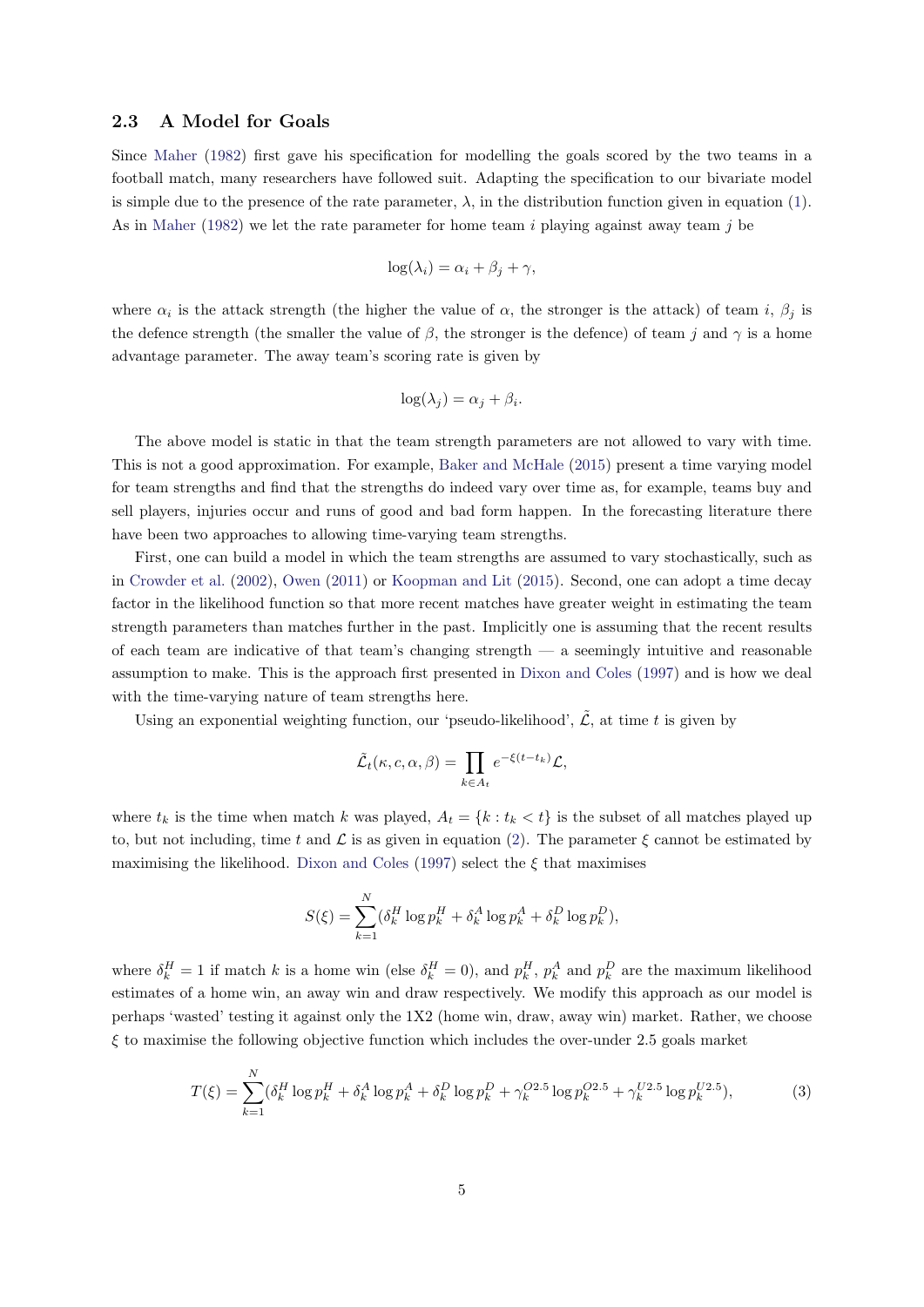#### 2.3 A Model for Goals

Since [Maher](#page-14-0) [\(1982\)](#page-14-0) first gave his specification for modelling the goals scored by the two teams in a football match, many researchers have followed suit. Adapting the specification to our bivariate model is simple due to the presence of the rate parameter,  $\lambda$ , in the distribution function given in equation [\(1\)](#page-2-1). As in [Maher](#page-14-0) [\(1982\)](#page-14-0) we let the rate parameter for home team  $i$  playing against away team  $j$  be

$$
\log(\lambda_i) = \alpha_i + \beta_j + \gamma,
$$

where  $\alpha_i$  is the attack strength (the higher the value of  $\alpha$ , the stronger is the attack) of team i,  $\beta_j$  is the defence strength (the smaller the value of  $\beta$ , the stronger is the defence) of team j and  $\gamma$  is a home advantage parameter. The away team's scoring rate is given by

$$
\log(\lambda_j) = \alpha_j + \beta_i.
$$

The above model is static in that the team strength parameters are not allowed to vary with time. This is not a good approximation. For example, [Baker and McHale](#page-13-4) [\(2015\)](#page-13-4) present a time varying model for team strengths and find that the strengths do indeed vary over time as, for example, teams buy and sell players, injuries occur and runs of good and bad form happen. In the forecasting literature there have been two approaches to allowing time-varying team strengths.

First, one can build a model in which the team strengths are assumed to vary stochastically, such as in [Crowder et al.](#page-13-5) [\(2002\)](#page-13-5), [Owen](#page-14-2) [\(2011\)](#page-14-2) or [Koopman and Lit](#page-13-2) [\(2015\)](#page-13-2). Second, one can adopt a time decay factor in the likelihood function so that more recent matches have greater weight in estimating the team strength parameters than matches further in the past. Implicitly one is assuming that the recent results of each team are indicative of that team's changing strength — a seemingly intuitive and reasonable assumption to make. This is the approach first presented in [Dixon and Coles](#page-13-0) [\(1997\)](#page-13-0) and is how we deal with the time-varying nature of team strengths here.

Using an exponential weighting function, our 'pseudo-likelihood',  $\tilde{\mathcal{L}}$ , at time t is given by

$$
\tilde{\mathcal{L}}_t(\kappa, c, \alpha, \beta) = \prod_{k \in A_t} e^{-\xi(t - t_k)} \mathcal{L},
$$

where  $t_k$  is the time when match k was played,  $A_t = \{k : t_k < t\}$  is the subset of all matches played up to, but not including, time t and  $\mathcal L$  is as given in equation [\(2\)](#page-4-0). The parameter  $\xi$  cannot be estimated by maximising the likelihood. [Dixon and Coles](#page-13-0) [\(1997\)](#page-13-0) select the  $\xi$  that maximises

$$
S(\xi) = \sum_{k=1}^{N} (\delta_k^H \log p_k^H + \delta_k^A \log p_k^A + \delta_k^D \log p_k^D),
$$

where  $\delta_k^H = 1$  if match k is a home win (else  $\delta_k^H = 0$ ), and  $p_k^H$ ,  $p_k^A$  and  $p_k^D$  are the maximum likelihood estimates of a home win, an away win and draw respectively. We modify this approach as our model is perhaps 'wasted' testing it against only the 1X2 (home win, draw, away win) market. Rather, we choose  $\xi$  to maximise the following objective function which includes the over-under 2.5 goals market

<span id="page-5-0"></span>
$$
T(\xi) = \sum_{k=1}^{N} (\delta_k^H \log p_k^H + \delta_k^A \log p_k^A + \delta_k^D \log p_k^D + \gamma_k^{O2.5} \log p_k^{O2.5} + \gamma_k^{U2.5} \log p_k^{U2.5}),
$$
(3)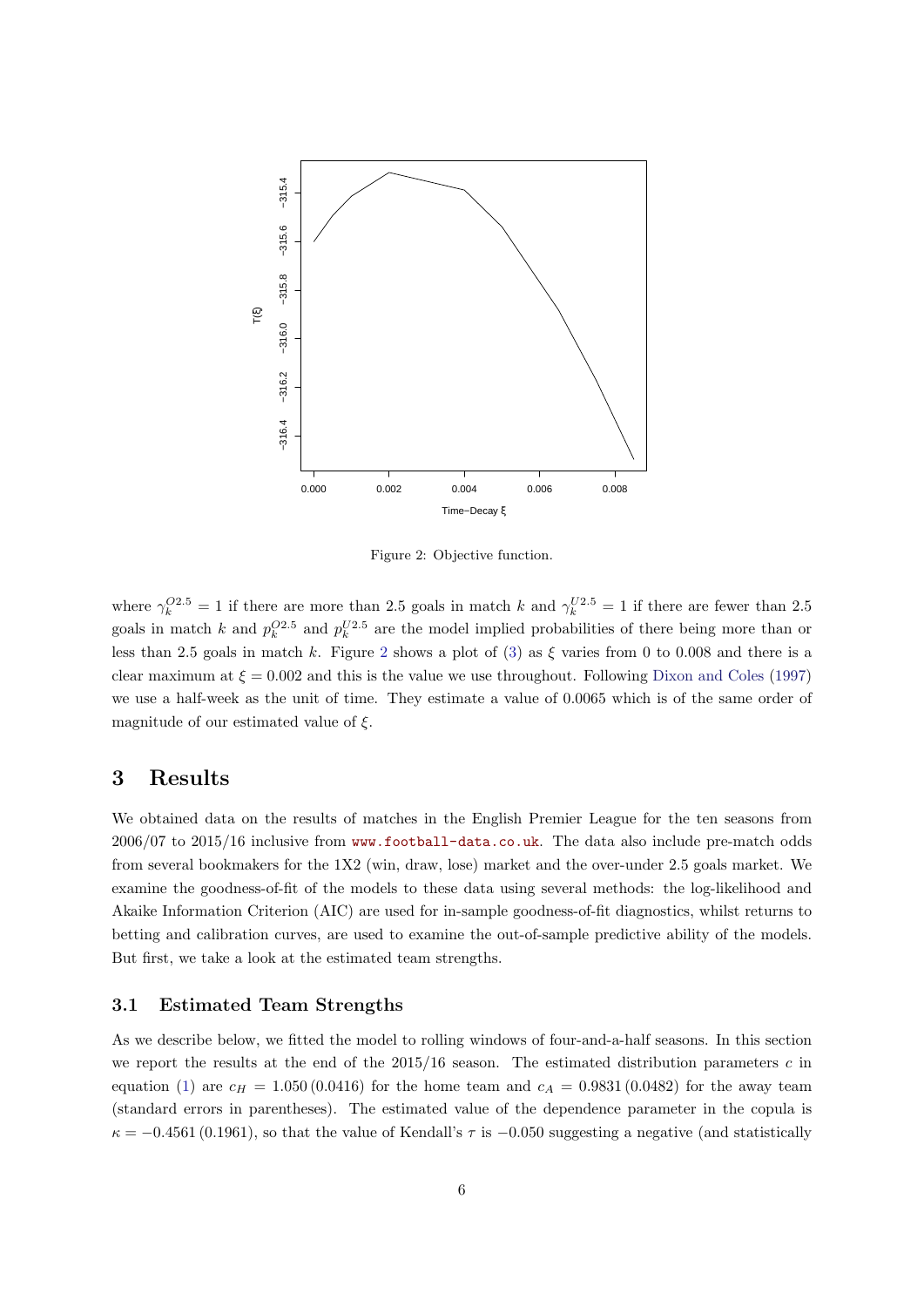<span id="page-6-1"></span>

Figure 2: Objective function.

where  $\gamma_k^{O2.5} = 1$  if there are more than 2.5 goals in match k and  $\gamma_k^{U2.5} = 1$  if there are fewer than 2.5 goals in match k and  $p_k^{O2.5}$  and  $p_k^{U2.5}$  are the model implied probabilities of there being more than or less than [2](#page-6-1).5 goals in match k. Figure 2 shows a plot of [\(3\)](#page-5-0) as  $\xi$  varies from 0 to 0.008 and there is a clear maximum at  $\xi = 0.002$  and this is the value we use throughout. Following [Dixon and Coles](#page-13-0) [\(1997\)](#page-13-0) we use a half-week as the unit of time. They estimate a value of 0.0065 which is of the same order of magnitude of our estimated value of  $\xi$ .

## <span id="page-6-0"></span>3 Results

We obtained data on the results of matches in the English Premier League for the ten seasons from 2006/07 to 2015/16 inclusive from <www.football-data.co.uk>. The data also include pre-match odds from several bookmakers for the 1X2 (win, draw, lose) market and the over-under 2.5 goals market. We examine the goodness-of-fit of the models to these data using several methods: the log-likelihood and Akaike Information Criterion (AIC) are used for in-sample goodness-of-fit diagnostics, whilst returns to betting and calibration curves, are used to examine the out-of-sample predictive ability of the models. But first, we take a look at the estimated team strengths.

#### 3.1 Estimated Team Strengths

As we describe below, we fitted the model to rolling windows of four-and-a-half seasons. In this section we report the results at the end of the  $2015/16$  season. The estimated distribution parameters c in equation [\(1\)](#page-2-1) are  $c_H = 1.050 (0.0416)$  for the home team and  $c_A = 0.9831 (0.0482)$  for the away team (standard errors in parentheses). The estimated value of the dependence parameter in the copula is  $\kappa = -0.4561(0.1961)$ , so that the value of Kendall's  $\tau$  is  $-0.050$  suggesting a negative (and statistically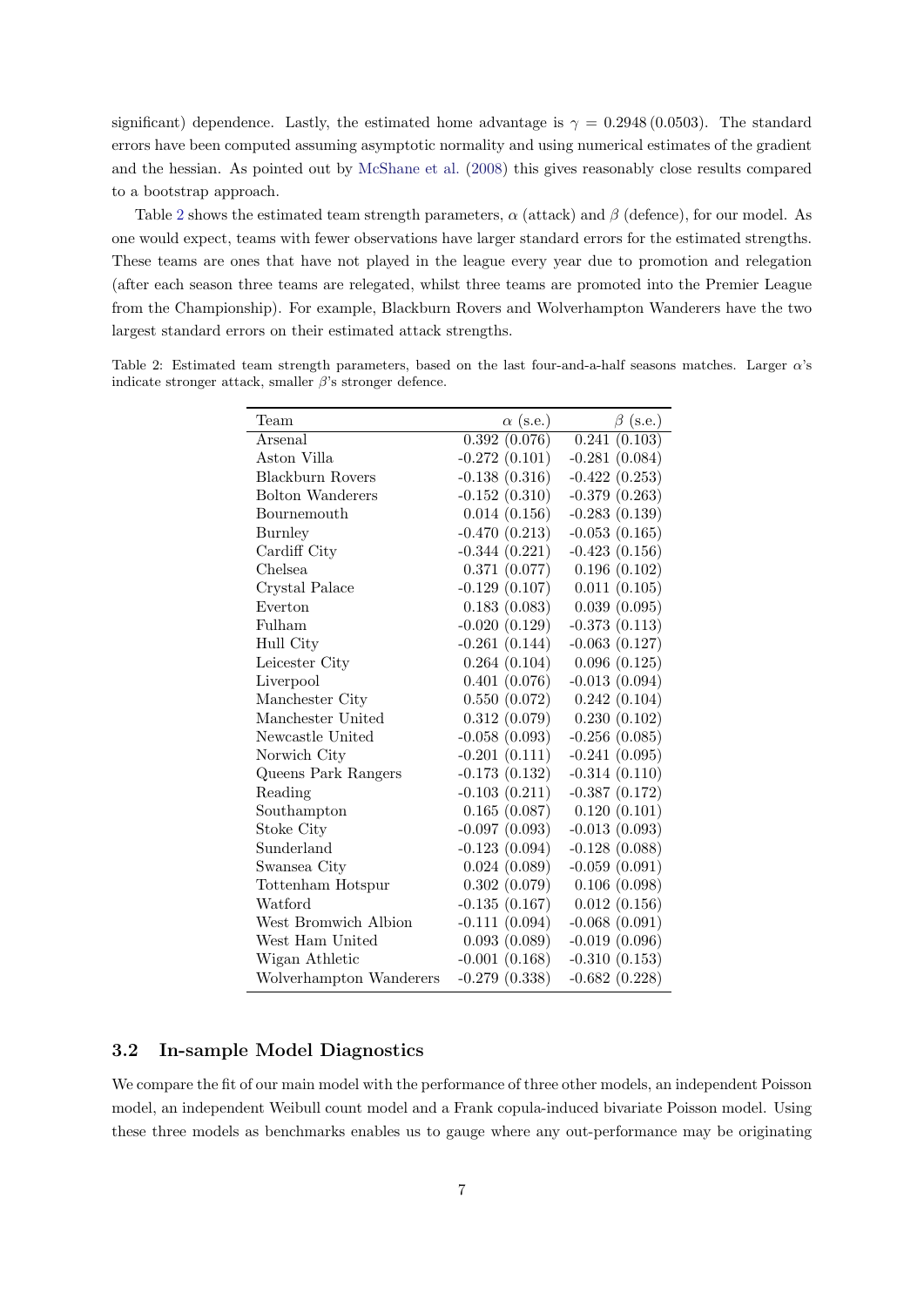significant) dependence. Lastly, the estimated home advantage is  $\gamma = 0.2948 \, (0.0503)$ . The standard errors have been computed assuming asymptotic normality and using numerical estimates of the gradient and the hessian. As pointed out by [McShane et al.](#page-14-3) [\(2008\)](#page-14-3) this gives reasonably close results compared to a bootstrap approach.

Table [2](#page-7-0) shows the estimated team strength parameters,  $\alpha$  (attack) and  $\beta$  (defence), for our model. As one would expect, teams with fewer observations have larger standard errors for the estimated strengths. These teams are ones that have not played in the league every year due to promotion and relegation (after each season three teams are relegated, whilst three teams are promoted into the Premier League from the Championship). For example, Blackburn Rovers and Wolverhampton Wanderers have the two largest standard errors on their estimated attack strengths.

<span id="page-7-0"></span>Table 2: Estimated team strength parameters, based on the last four-and-a-half seasons matches. Larger  $\alpha$ 's indicate stronger attack, smaller  $\beta$ 's stronger defence.

| Team                    | $\alpha$ (s.e.) | $\beta$ (s.e.)  |
|-------------------------|-----------------|-----------------|
| Arsenal                 | 0.392(0.076)    | 0.241(0.103)    |
| Aston Villa             | $-0.272(0.101)$ | $-0.281(0.084)$ |
| Blackburn Rovers        | $-0.138(0.316)$ | $-0.422(0.253)$ |
| <b>Bolton Wanderers</b> | $-0.152(0.310)$ | $-0.379(0.263)$ |
| Bournemouth             | 0.014(0.156)    | $-0.283(0.139)$ |
| <b>Burnley</b>          | $-0.470(0.213)$ | $-0.053(0.165)$ |
| Cardiff City            | $-0.344(0.221)$ | $-0.423(0.156)$ |
| Chelsea.                | 0.371(0.077)    | 0.196(0.102)    |
| Crystal Palace          | $-0.129(0.107)$ | 0.011(0.105)    |
| Everton                 | 0.183(0.083)    | 0.039(0.095)    |
| Fulham                  | $-0.020(0.129)$ | $-0.373(0.113)$ |
| Hull City               | $-0.261(0.144)$ | $-0.063(0.127)$ |
| Leicester City          | 0.264(0.104)    | 0.096(0.125)    |
| Liverpool               | 0.401(0.076)    | $-0.013(0.094)$ |
| Manchester City         | 0.550(0.072)    | 0.242(0.104)    |
| Manchester United       | 0.312(0.079)    | 0.230(0.102)    |
| Newcastle United        | $-0.058(0.093)$ | $-0.256(0.085)$ |
| Norwich City            | $-0.201(0.111)$ | $-0.241(0.095)$ |
| Queens Park Rangers     | $-0.173(0.132)$ | $-0.314(0.110)$ |
| Reading                 | $-0.103(0.211)$ | $-0.387(0.172)$ |
| Southampton             | 0.165(0.087)    | 0.120(0.101)    |
| Stoke City              | $-0.097(0.093)$ | $-0.013(0.093)$ |
| Sunderland              | $-0.123(0.094)$ | $-0.128(0.088)$ |
| Swansea City            | 0.024(0.089)    | $-0.059(0.091)$ |
| Tottenham Hotspur       | 0.302(0.079)    | 0.106(0.098)    |
| Watford                 | $-0.135(0.167)$ | 0.012(0.156)    |
| West Bromwich Albion    | $-0.111(0.094)$ | $-0.068(0.091)$ |
| West Ham United         | 0.093(0.089)    | $-0.019(0.096)$ |
| Wigan Athletic          | $-0.001(0.168)$ | $-0.310(0.153)$ |
| Wolverhampton Wanderers | $-0.279(0.338)$ | $-0.682(0.228)$ |

### 3.2 In-sample Model Diagnostics

We compare the fit of our main model with the performance of three other models, an independent Poisson model, an independent Weibull count model and a Frank copula-induced bivariate Poisson model. Using these three models as benchmarks enables us to gauge where any out-performance may be originating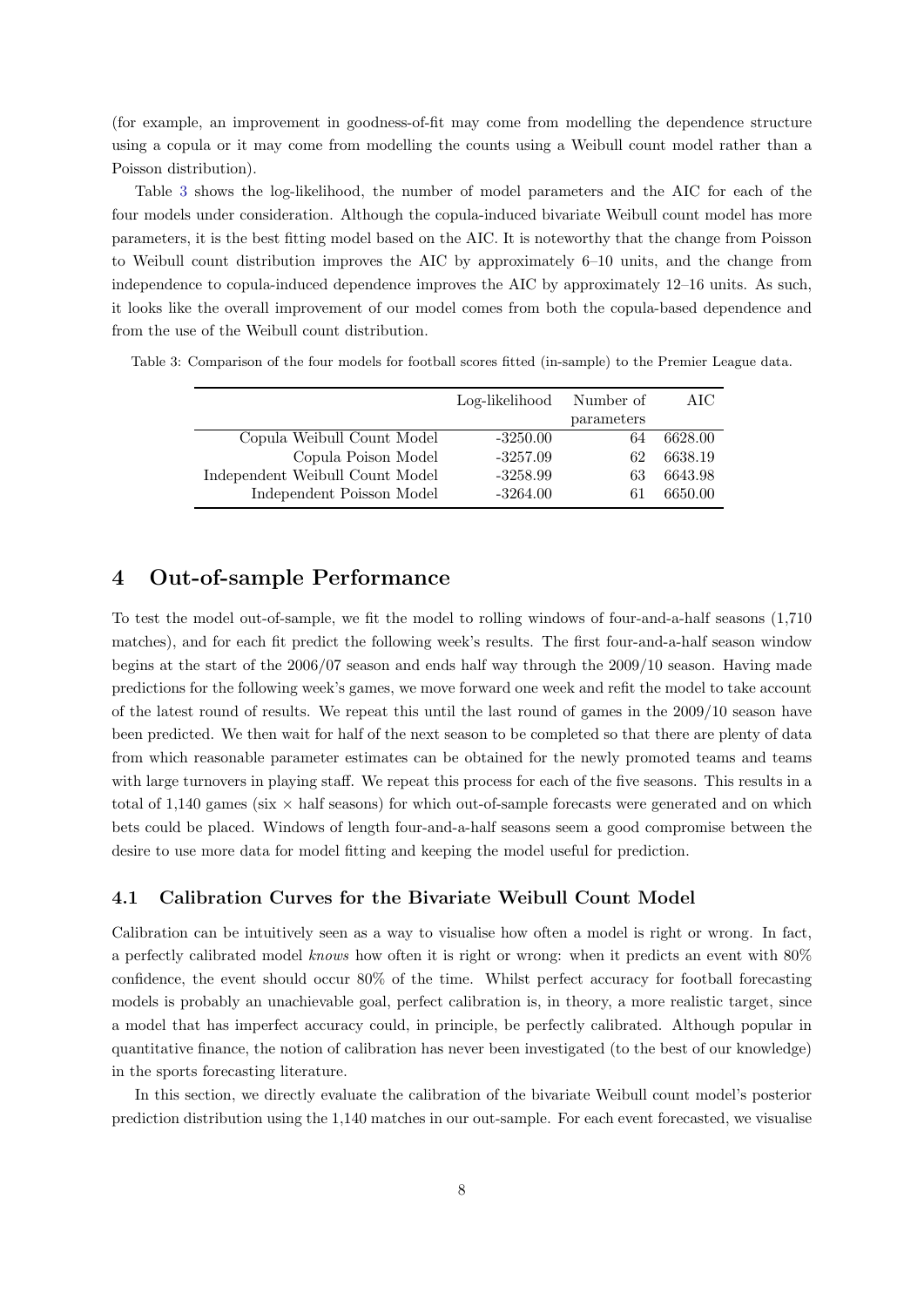(for example, an improvement in goodness-of-fit may come from modelling the dependence structure using a copula or it may come from modelling the counts using a Weibull count model rather than a Poisson distribution).

Table [3](#page-8-1) shows the log-likelihood, the number of model parameters and the AIC for each of the four models under consideration. Although the copula-induced bivariate Weibull count model has more parameters, it is the best fitting model based on the AIC. It is noteworthy that the change from Poisson to Weibull count distribution improves the AIC by approximately 6–10 units, and the change from independence to copula-induced dependence improves the AIC by approximately 12–16 units. As such, it looks like the overall improvement of our model comes from both the copula-based dependence and from the use of the Weibull count distribution.

|                                 | Log-likelihood | Number of  | AIC     |
|---------------------------------|----------------|------------|---------|
|                                 |                | parameters |         |
| Copula Weibull Count Model      | $-3250.00$     | 64         | 6628.00 |
| Copula Poison Model             | $-3257.09$     | 62         | 6638.19 |
| Independent Weibull Count Model | $-3258.99$     | 63         | 6643.98 |
| Independent Poisson Model       | $-3264.00$     | 61         | 6650.00 |

<span id="page-8-1"></span>Table 3: Comparison of the four models for football scores fitted (in-sample) to the Premier League data.

## <span id="page-8-0"></span>4 Out-of-sample Performance

To test the model out-of-sample, we fit the model to rolling windows of four-and-a-half seasons (1,710 matches), and for each fit predict the following week's results. The first four-and-a-half season window begins at the start of the 2006/07 season and ends half way through the 2009/10 season. Having made predictions for the following week's games, we move forward one week and refit the model to take account of the latest round of results. We repeat this until the last round of games in the 2009/10 season have been predicted. We then wait for half of the next season to be completed so that there are plenty of data from which reasonable parameter estimates can be obtained for the newly promoted teams and teams with large turnovers in playing staff. We repeat this process for each of the five seasons. This results in a total of 1,140 games (six  $\times$  half seasons) for which out-of-sample forecasts were generated and on which bets could be placed. Windows of length four-and-a-half seasons seem a good compromise between the desire to use more data for model fitting and keeping the model useful for prediction.

#### 4.1 Calibration Curves for the Bivariate Weibull Count Model

Calibration can be intuitively seen as a way to visualise how often a model is right or wrong. In fact, a perfectly calibrated model knows how often it is right or wrong: when it predicts an event with 80% confidence, the event should occur 80% of the time. Whilst perfect accuracy for football forecasting models is probably an unachievable goal, perfect calibration is, in theory, a more realistic target, since a model that has imperfect accuracy could, in principle, be perfectly calibrated. Although popular in quantitative finance, the notion of calibration has never been investigated (to the best of our knowledge) in the sports forecasting literature.

In this section, we directly evaluate the calibration of the bivariate Weibull count model's posterior prediction distribution using the 1,140 matches in our out-sample. For each event forecasted, we visualise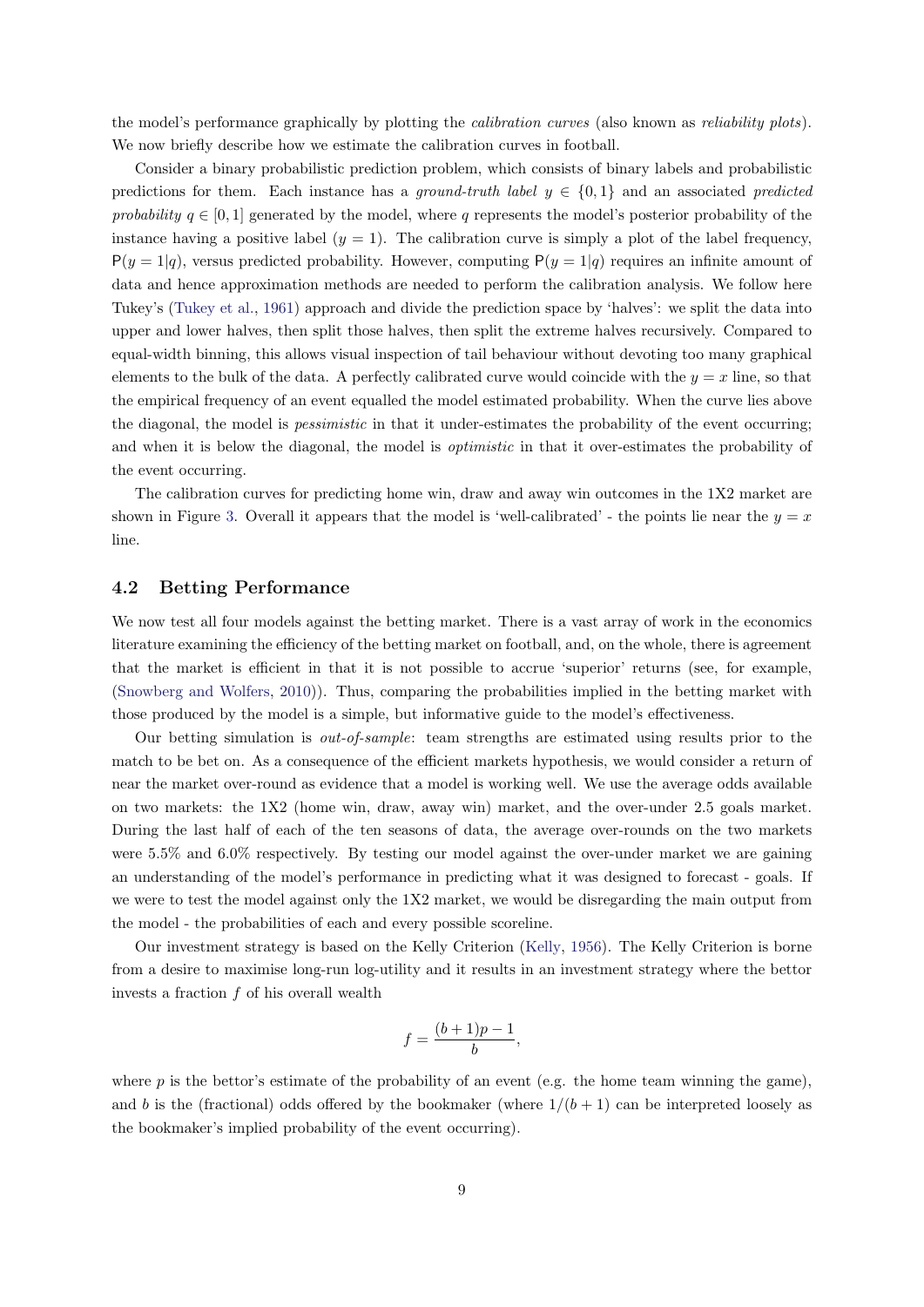the model's performance graphically by plotting the calibration curves (also known as reliability plots). We now briefly describe how we estimate the calibration curves in football.

Consider a binary probabilistic prediction problem, which consists of binary labels and probabilistic predictions for them. Each instance has a ground-truth label  $y \in \{0,1\}$  and an associated predicted probability  $q \in [0, 1]$  generated by the model, where q represents the model's posterior probability of the instance having a positive label  $(y = 1)$ . The calibration curve is simply a plot of the label frequency,  $P(y = 1|q)$ , versus predicted probability. However, computing  $P(y = 1|q)$  requires an infinite amount of data and hence approximation methods are needed to perform the calibration analysis. We follow here Tukey's [\(Tukey et al.,](#page-14-7) [1961\)](#page-14-7) approach and divide the prediction space by 'halves': we split the data into upper and lower halves, then split those halves, then split the extreme halves recursively. Compared to equal-width binning, this allows visual inspection of tail behaviour without devoting too many graphical elements to the bulk of the data. A perfectly calibrated curve would coincide with the  $y = x$  line, so that the empirical frequency of an event equalled the model estimated probability. When the curve lies above the diagonal, the model is pessimistic in that it under-estimates the probability of the event occurring; and when it is below the diagonal, the model is *optimistic* in that it over-estimates the probability of the event occurring.

The calibration curves for predicting home win, draw and away win outcomes in the 1X2 market are shown in Figure [3.](#page-10-0) Overall it appears that the model is 'well-calibrated' - the points lie near the  $y = x$ line.

#### 4.2 Betting Performance

We now test all four models against the betting market. There is a vast array of work in the economics literature examining the efficiency of the betting market on football, and, on the whole, there is agreement that the market is efficient in that it is not possible to accrue 'superior' returns (see, for example, [\(Snowberg and Wolfers,](#page-14-8) [2010\)](#page-14-8)). Thus, comparing the probabilities implied in the betting market with those produced by the model is a simple, but informative guide to the model's effectiveness.

Our betting simulation is out-of-sample: team strengths are estimated using results prior to the match to be bet on. As a consequence of the efficient markets hypothesis, we would consider a return of near the market over-round as evidence that a model is working well. We use the average odds available on two markets: the 1X2 (home win, draw, away win) market, and the over-under 2.5 goals market. During the last half of each of the ten seasons of data, the average over-rounds on the two markets were 5.5% and 6.0% respectively. By testing our model against the over-under market we are gaining an understanding of the model's performance in predicting what it was designed to forecast - goals. If we were to test the model against only the 1X2 market, we would be disregarding the main output from the model - the probabilities of each and every possible scoreline.

Our investment strategy is based on the Kelly Criterion [\(Kelly,](#page-13-6) [1956\)](#page-13-6). The Kelly Criterion is borne from a desire to maximise long-run log-utility and it results in an investment strategy where the bettor invests a fraction  $f$  of his overall wealth

$$
f = \frac{(b+1)p-1}{b},
$$

where  $p$  is the bettor's estimate of the probability of an event (e.g. the home team winning the game), and b is the (fractional) odds offered by the bookmaker (where  $1/(b+1)$  can be interpreted loosely as the bookmaker's implied probability of the event occurring).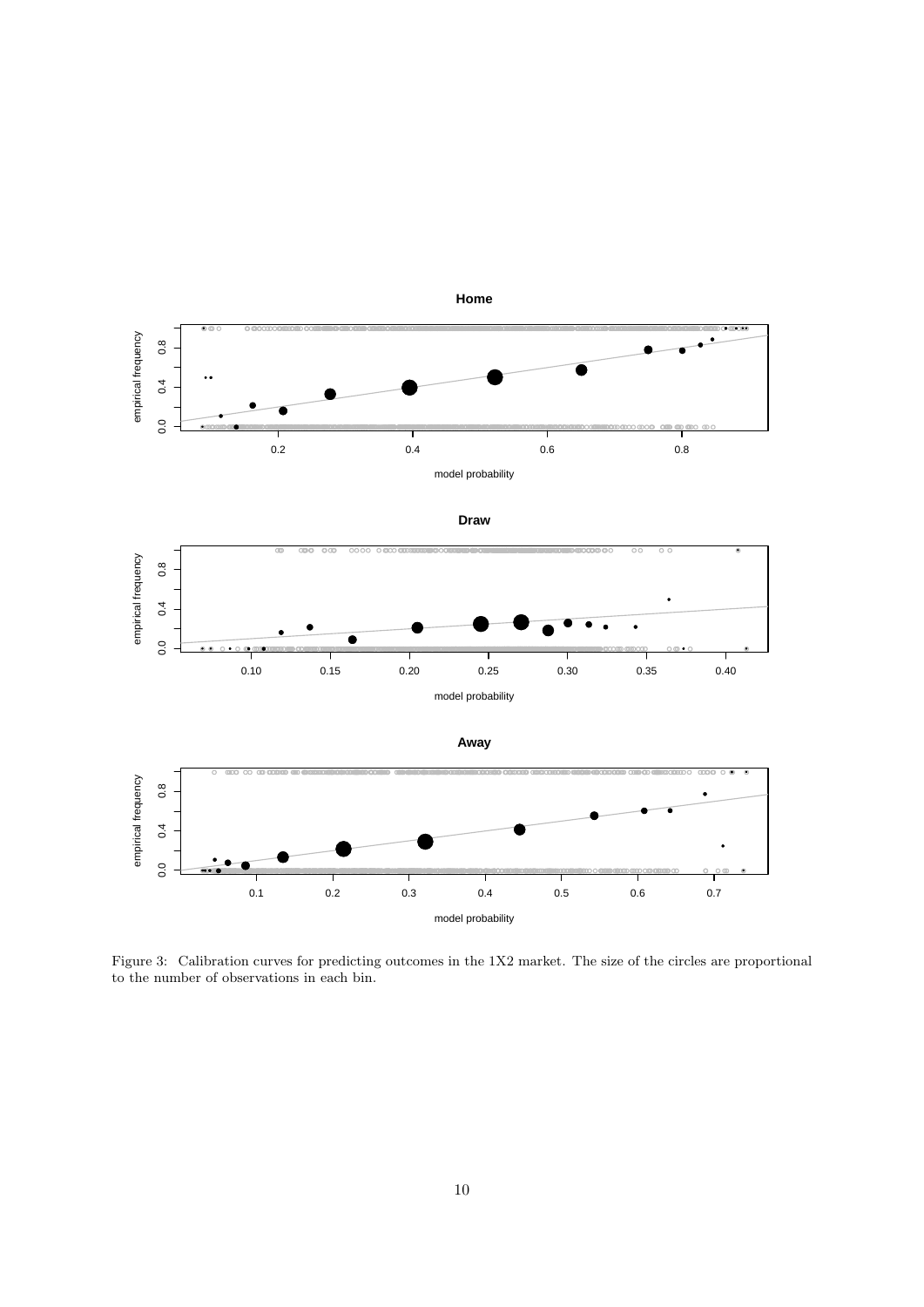<span id="page-10-0"></span>

Figure 3: Calibration curves for predicting outcomes in the 1X2 market. The size of the circles are proportional to the number of observations in each bin.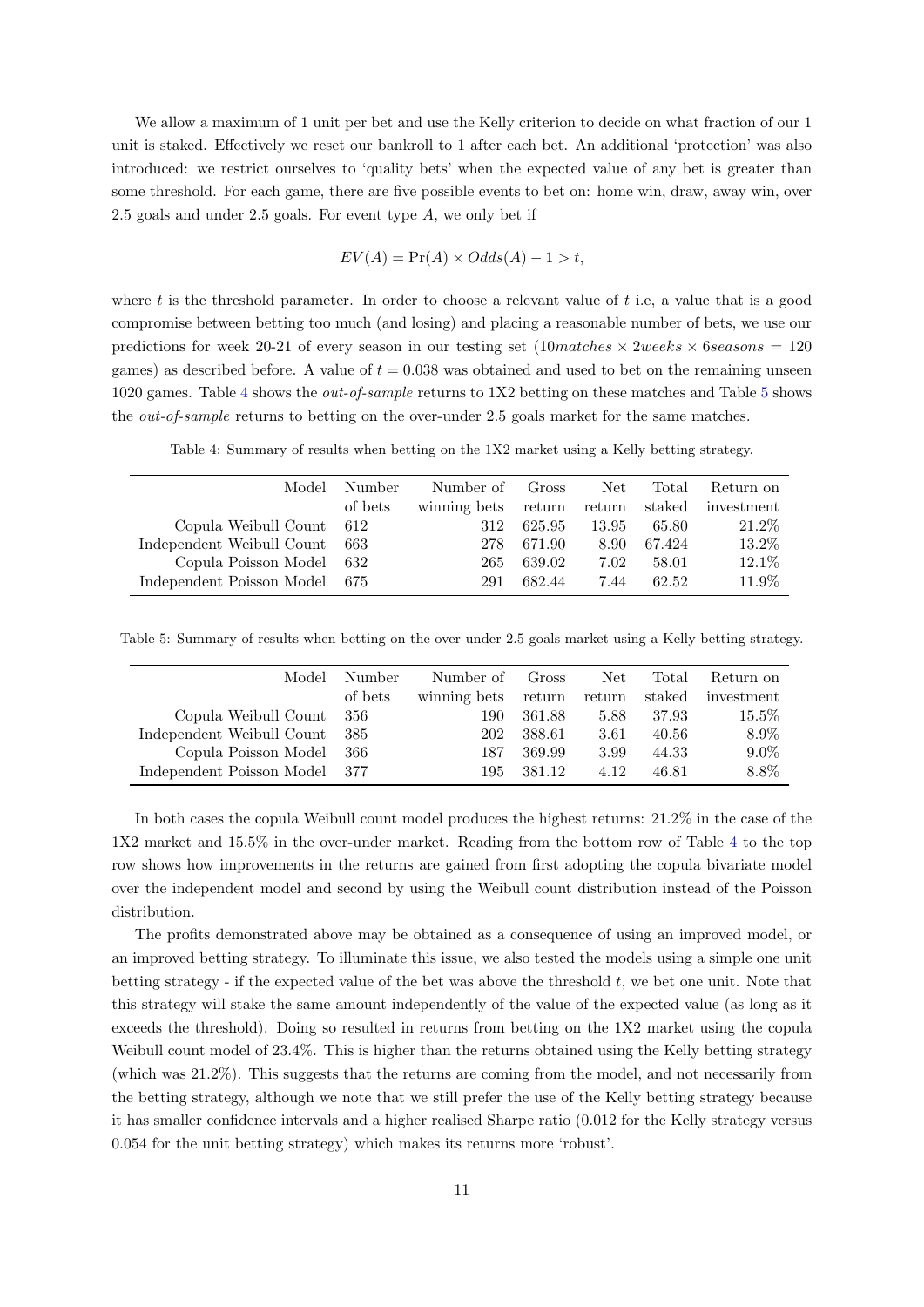We allow a maximum of 1 unit per bet and use the Kelly criterion to decide on what fraction of our 1 unit is staked. Effectively we reset our bankroll to 1 after each bet. An additional 'protection' was also introduced: we restrict ourselves to 'quality bets' when the expected value of any bet is greater than some threshold. For each game, there are five possible events to bet on: home win, draw, away win, over 2.5 goals and under 2.5 goals. For event type  $A$ , we only bet if

$$
EV(A) = \Pr(A) \times Odds(A) - 1 > t,
$$

where t is the threshold parameter. In order to choose a relevant value of t i.e, a value that is a good compromise between betting too much (and losing) and placing a reasonable number of bets, we use our predictions for week 20-21 of every season in our testing set  $(10$ matches  $\times$  2weeks  $\times$  6seasons = 120 games) as described before. A value of  $t = 0.038$  was obtained and used to bet on the remaining unseen 1020 games. Table [4](#page-11-0) shows the out-of-sample returns to 1X2 betting on these matches and Table [5](#page-11-1) shows the out-of-sample returns to betting on the over-under 2.5 goals market for the same matches.

Table 4: Summary of results when betting on the 1X2 market using a Kelly betting strategy.

<span id="page-11-0"></span>

| Model                     | Number  | Number of    | Gross  | Net    | Total  | Return on  |
|---------------------------|---------|--------------|--------|--------|--------|------------|
|                           | of bets | winning bets | return | return | staked | investment |
| Copula Weibull Count      | 612     | 312          | 625.95 | 13.95  | 65.80  | 21.2\%     |
| Independent Weibull Count | 663     | 278          | 671.90 | 8.90   | 67.424 | 13.2%      |
| Copula Poisson Model      | 632     | 265          | 639.02 | 7.02   | 58.01  | 12.1%      |
| Independent Poisson Model | 675     | 291          | 682.44 | 7.44   | 62.52  | 11.9%      |

<span id="page-11-1"></span>Table 5: Summary of results when betting on the over-under 2.5 goals market using a Kelly betting strategy.

| Model                         | Number  | Number of    | Gross  | Net.   | Total  | Return on  |
|-------------------------------|---------|--------------|--------|--------|--------|------------|
|                               | of bets | winning bets | return | return | staked | investment |
| Copula Weibull Count          | - 356   | 190          | 361.88 | 5.88   | 37.93  | 15.5%      |
| Independent Weibull Count     | -385    | 202          | 388.61 | 3.61   | 40.56  | 8.9%       |
| Copula Poisson Model          | - 366   | 187          | 369.99 | 3.99   | 44.33  | $9.0\%$    |
| Independent Poisson Model 377 |         | 195          | 381.12 | 4.12   | 46.81  | 8.8%       |

In both cases the copula Weibull count model produces the highest returns: 21.2% in the case of the 1X2 market and 15.5% in the over-under market. Reading from the bottom row of Table [4](#page-11-0) to the top row shows how improvements in the returns are gained from first adopting the copula bivariate model over the independent model and second by using the Weibull count distribution instead of the Poisson distribution.

The profits demonstrated above may be obtained as a consequence of using an improved model, or an improved betting strategy. To illuminate this issue, we also tested the models using a simple one unit betting strategy - if the expected value of the bet was above the threshold t, we bet one unit. Note that this strategy will stake the same amount independently of the value of the expected value (as long as it exceeds the threshold). Doing so resulted in returns from betting on the 1X2 market using the copula Weibull count model of 23.4%. This is higher than the returns obtained using the Kelly betting strategy (which was 21.2%). This suggests that the returns are coming from the model, and not necessarily from the betting strategy, although we note that we still prefer the use of the Kelly betting strategy because it has smaller confidence intervals and a higher realised Sharpe ratio (0.012 for the Kelly strategy versus 0.054 for the unit betting strategy) which makes its returns more 'robust'.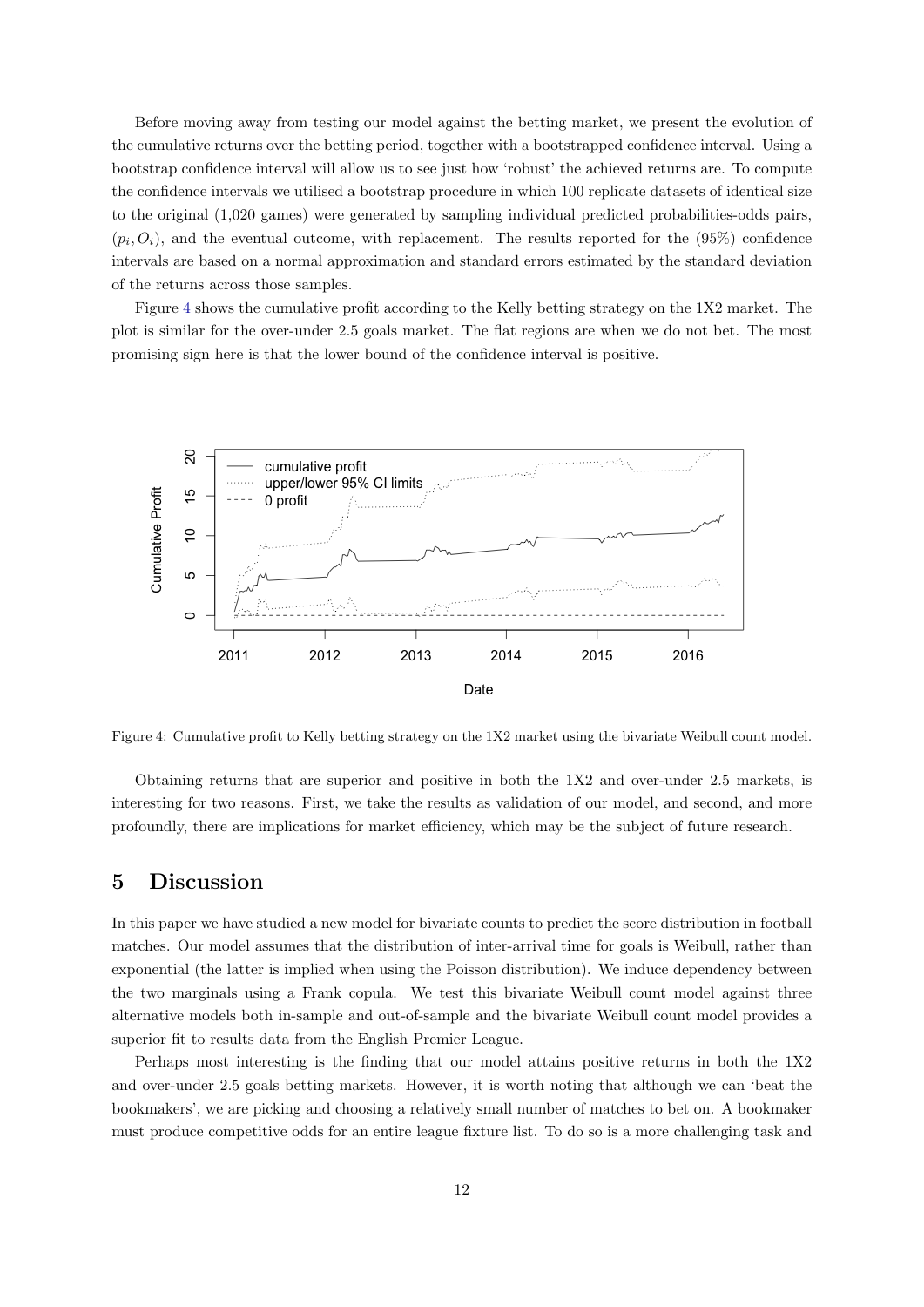Before moving away from testing our model against the betting market, we present the evolution of the cumulative returns over the betting period, together with a bootstrapped confidence interval. Using a bootstrap confidence interval will allow us to see just how 'robust' the achieved returns are. To compute the confidence intervals we utilised a bootstrap procedure in which 100 replicate datasets of identical size to the original (1,020 games) were generated by sampling individual predicted probabilities-odds pairs,  $(p_i, O_i)$ , and the eventual outcome, with replacement. The results reported for the  $(95%)$  confidence intervals are based on a normal approximation and standard errors estimated by the standard deviation of the returns across those samples.

Figure [4](#page-12-1) shows the cumulative profit according to the Kelly betting strategy on the 1X2 market. The plot is similar for the over-under 2.5 goals market. The flat regions are when we do not bet. The most promising sign here is that the lower bound of the confidence interval is positive.

<span id="page-12-1"></span>

Figure 4: Cumulative profit to Kelly betting strategy on the 1X2 market using the bivariate Weibull count model.

Obtaining returns that are superior and positive in both the 1X2 and over-under 2.5 markets, is interesting for two reasons. First, we take the results as validation of our model, and second, and more profoundly, there are implications for market efficiency, which may be the subject of future research.

## <span id="page-12-0"></span>5 Discussion

In this paper we have studied a new model for bivariate counts to predict the score distribution in football matches. Our model assumes that the distribution of inter-arrival time for goals is Weibull, rather than exponential (the latter is implied when using the Poisson distribution). We induce dependency between the two marginals using a Frank copula. We test this bivariate Weibull count model against three alternative models both in-sample and out-of-sample and the bivariate Weibull count model provides a superior fit to results data from the English Premier League.

Perhaps most interesting is the finding that our model attains positive returns in both the 1X2 and over-under 2.5 goals betting markets. However, it is worth noting that although we can 'beat the bookmakers', we are picking and choosing a relatively small number of matches to bet on. A bookmaker must produce competitive odds for an entire league fixture list. To do so is a more challenging task and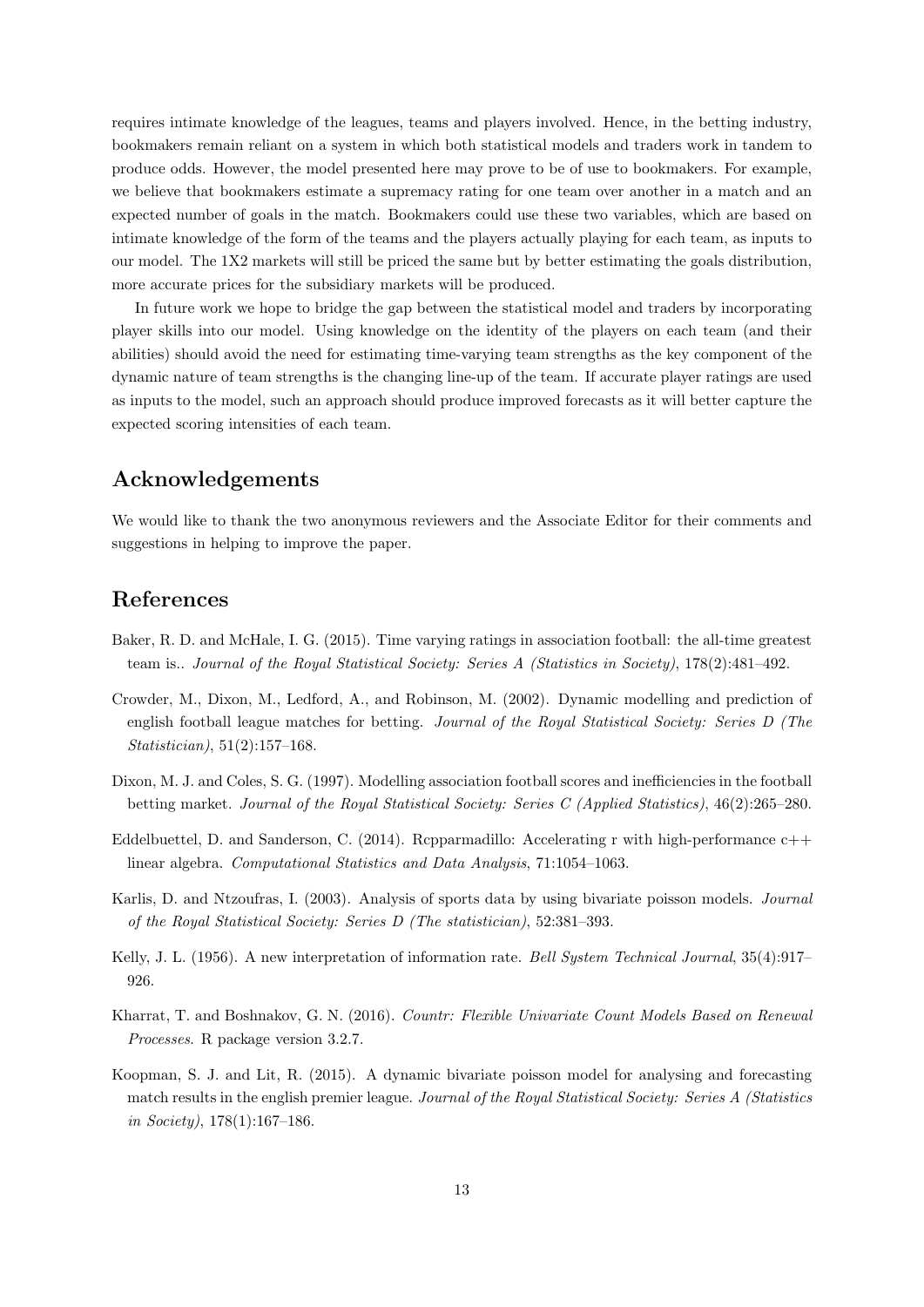requires intimate knowledge of the leagues, teams and players involved. Hence, in the betting industry, bookmakers remain reliant on a system in which both statistical models and traders work in tandem to produce odds. However, the model presented here may prove to be of use to bookmakers. For example, we believe that bookmakers estimate a supremacy rating for one team over another in a match and an expected number of goals in the match. Bookmakers could use these two variables, which are based on intimate knowledge of the form of the teams and the players actually playing for each team, as inputs to our model. The 1X2 markets will still be priced the same but by better estimating the goals distribution, more accurate prices for the subsidiary markets will be produced.

In future work we hope to bridge the gap between the statistical model and traders by incorporating player skills into our model. Using knowledge on the identity of the players on each team (and their abilities) should avoid the need for estimating time-varying team strengths as the key component of the dynamic nature of team strengths is the changing line-up of the team. If accurate player ratings are used as inputs to the model, such an approach should produce improved forecasts as it will better capture the expected scoring intensities of each team.

## Acknowledgements

We would like to thank the two anonymous reviewers and the Associate Editor for their comments and suggestions in helping to improve the paper.

## References

- <span id="page-13-4"></span>Baker, R. D. and McHale, I. G. (2015). Time varying ratings in association football: the all-time greatest team is.. Journal of the Royal Statistical Society: Series A (Statistics in Society), 178(2):481–492.
- <span id="page-13-5"></span>Crowder, M., Dixon, M., Ledford, A., and Robinson, M. (2002). Dynamic modelling and prediction of english football league matches for betting. Journal of the Royal Statistical Society: Series D (The Statistician), 51(2):157–168.
- <span id="page-13-0"></span>Dixon, M. J. and Coles, S. G. (1997). Modelling association football scores and inefficiencies in the football betting market. Journal of the Royal Statistical Society: Series C (Applied Statistics), 46(2):265–280.
- Eddelbuettel, D. and Sanderson, C. (2014). Repparmadillo: Accelerating r with high-performance  $c++$ linear algebra. Computational Statistics and Data Analysis, 71:1054–1063.
- <span id="page-13-1"></span>Karlis, D. and Ntzoufras, I. (2003). Analysis of sports data by using bivariate poisson models. Journal of the Royal Statistical Society: Series D (The statistician), 52:381–393.
- <span id="page-13-6"></span>Kelly, J. L. (1956). A new interpretation of information rate. Bell System Technical Journal, 35(4):917– 926.
- <span id="page-13-3"></span>Kharrat, T. and Boshnakov, G. N. (2016). Countr: Flexible Univariate Count Models Based on Renewal Processes. R package version 3.2.7.
- <span id="page-13-2"></span>Koopman, S. J. and Lit, R. (2015). A dynamic bivariate poisson model for analysing and forecasting match results in the english premier league. Journal of the Royal Statistical Society: Series A (Statistics in Society), 178(1):167–186.